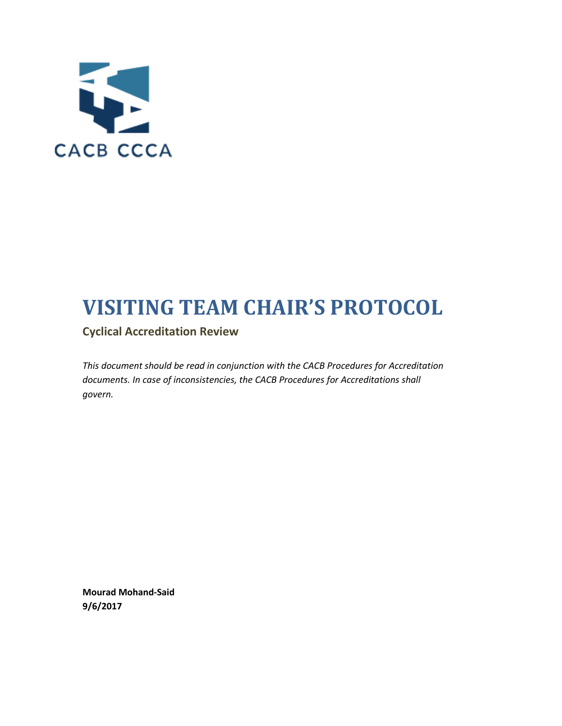

# **VISITING TEAM CHAIR'S PROTOCOL**

**Cyclical Accreditation Review**

*This document should be read in conjunction with the CACB Procedures for Accreditation documents. In case of inconsistencies, the CACB Procedures for Accreditations shall govern.*

**Mourad Mohand-Said 9/6/2017**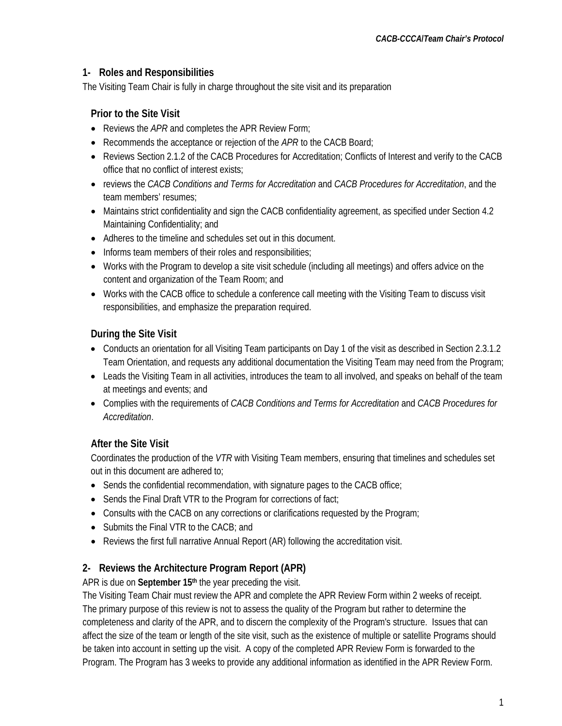### **1- Roles and Responsibilities**

The Visiting Team Chair is fully in charge throughout the site visit and its preparation

# **Prior to the Site Visit**

- Reviews the *APR* and completes the APR Review Form;
- Recommends the acceptance or rejection of the *APR* to the CACB Board;
- Reviews Section 2.1.2 of the CACB Procedures for Accreditation; Conflicts of Interest and verify to the CACB office that no conflict of interest exists;
- reviews the *CACB Conditions and Terms for Accreditation* and *CACB Procedures for Accreditation*, and the team members' resumes;
- Maintains strict confidentiality and sign the CACB confidentiality agreement, as specified under Section 4.2 Maintaining Confidentiality; and
- Adheres to the timeline and schedules set out in this document.
- Informs team members of their roles and responsibilities;
- Works with the Program to develop a site visit schedule (including all meetings) and offers advice on the content and organization of the Team Room; and
- Works with the CACB office to schedule a conference call meeting with the Visiting Team to discuss visit responsibilities, and emphasize the preparation required.

## **During the Site Visit**

- Conducts an orientation for all Visiting Team participants on Day 1 of the visit as described in Section 2.3.1.2 Team Orientation, and requests any additional documentation the Visiting Team may need from the Program;
- Leads the Visiting Team in all activities, introduces the team to all involved, and speaks on behalf of the team at meetings and events; and
- Complies with the requirements of *CACB Conditions and Terms for Accreditation* and *CACB Procedures for Accreditation*.

# **After the Site Visit**

Coordinates the production of the *VTR* with Visiting Team members, ensuring that timelines and schedules set out in this document are adhered to;

- Sends the confidential recommendation, with signature pages to the CACB office;
- Sends the Final Draft VTR to the Program for corrections of fact;
- Consults with the CACB on any corrections or clarifications requested by the Program;
- Submits the Final VTR to the CACB; and
- Reviews the first full narrative Annual Report (AR) following the accreditation visit.

# **2- Reviews the Architecture Program Report (APR)**

APR is due on **September 15th** the year preceding the visit.

The Visiting Team Chair must review the APR and complete the APR Review Form within 2 weeks of receipt. The primary purpose of this review is not to assess the quality of the Program but rather to determine the completeness and clarity of the APR, and to discern the complexity of the Program's structure. Issues that can affect the size of the team or length of the site visit, such as the existence of multiple or satellite Programs should be taken into account in setting up the visit. A copy of the completed APR Review Form is forwarded to the Program. The Program has 3 weeks to provide any additional information as identified in the APR Review Form.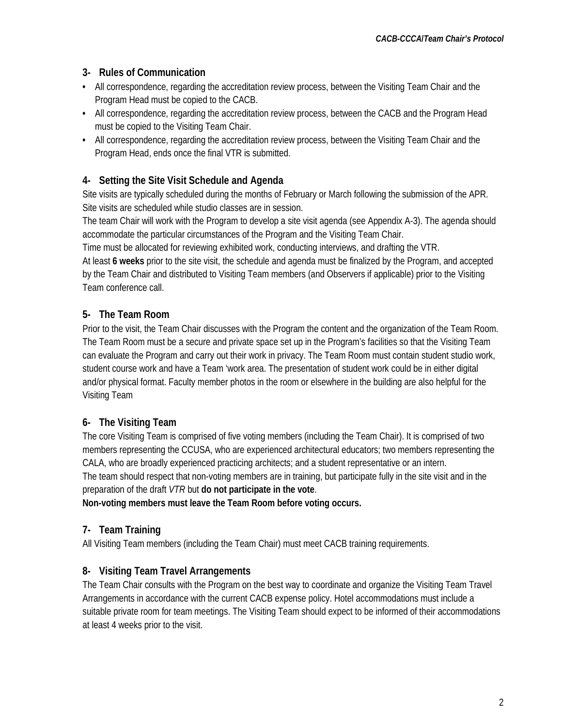## **3- Rules of Communication**

- **•** All correspondence, regarding the accreditation review process, between the Visiting Team Chair and the Program Head must be copied to the CACB.
- **•** All correspondence, regarding the accreditation review process, between the CACB and the Program Head must be copied to the Visiting Team Chair.
- **•** All correspondence, regarding the accreditation review process, between the Visiting Team Chair and the Program Head, ends once the final VTR is submitted.

## **4- Setting the Site Visit Schedule and Agenda**

Site visits are typically scheduled during the months of February or March following the submission of the APR. Site visits are scheduled while studio classes are in session.

The team Chair will work with the Program to develop a site visit agenda (see Appendix A-3). The agenda should accommodate the particular circumstances of the Program and the Visiting Team Chair.

Time must be allocated for reviewing exhibited work, conducting interviews, and drafting the VTR.

At least **6 weeks** prior to the site visit, the schedule and agenda must be finalized by the Program, and accepted by the Team Chair and distributed to Visiting Team members (and Observers if applicable) prior to the Visiting Team conference call.

# **5- The Team Room**

Prior to the visit, the Team Chair discusses with the Program the content and the organization of the Team Room. The Team Room must be a secure and private space set up in the Program's facilities so that the Visiting Team can evaluate the Program and carry out their work in privacy. The Team Room must contain student studio work, student course work and have a Team 'work area. The presentation of student work could be in either digital and/or physical format. Faculty member photos in the room or elsewhere in the building are also helpful for the Visiting Team

# **6- The Visiting Team**

The core Visiting Team is comprised of five voting members (including the Team Chair). It is comprised of two members representing the CCUSA, who are experienced architectural educators; two members representing the CALA, who are broadly experienced practicing architects; and a student representative or an intern. The team should respect that non-voting members are in training, but participate fully in the site visit and in the preparation of the draft *VTR* but **do not participate in the vote**.

**Non-voting members must leave the Team Room before voting occurs.**

# **7- Team Training**

All Visiting Team members (including the Team Chair) must meet CACB training requirements.

# **8- Visiting Team Travel Arrangements**

The Team Chair consults with the Program on the best way to coordinate and organize the Visiting Team Travel Arrangements in accordance with the current CACB expense policy. Hotel accommodations must include a suitable private room for team meetings. The Visiting Team should expect to be informed of their accommodations at least 4 weeks prior to the visit.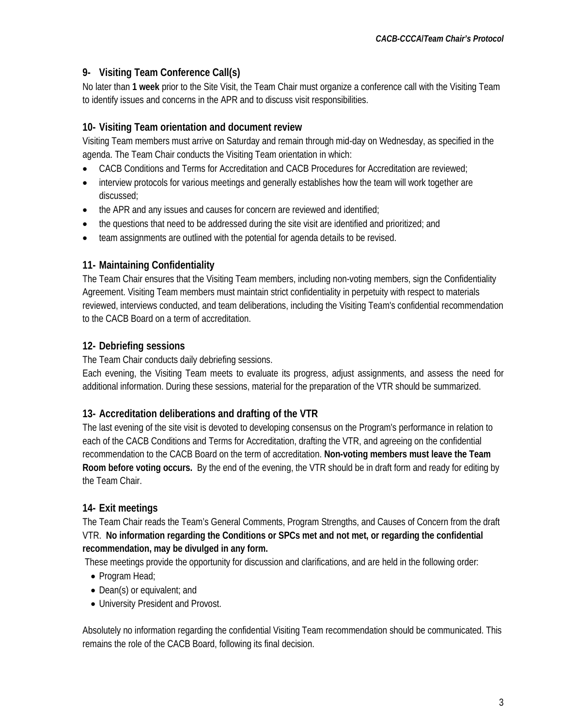## **9- Visiting Team Conference Call(s)**

No later than **1 week** prior to the Site Visit, the Team Chair must organize a conference call with the Visiting Team to identify issues and concerns in the APR and to discuss visit responsibilities.

## **10- Visiting Team orientation and document review**

Visiting Team members must arrive on Saturday and remain through mid-day on Wednesday, as specified in the agenda. The Team Chair conducts the Visiting Team orientation in which:

- CACB Conditions and Terms for Accreditation and CACB Procedures for Accreditation are reviewed;
- interview protocols for various meetings and generally establishes how the team will work together are discussed;
- the APR and any issues and causes for concern are reviewed and identified;
- the questions that need to be addressed during the site visit are identified and prioritized; and
- team assignments are outlined with the potential for agenda details to be revised.

## **11- Maintaining Confidentiality**

The Team Chair ensures that the Visiting Team members, including non-voting members, sign the Confidentiality Agreement. Visiting Team members must maintain strict confidentiality in perpetuity with respect to materials reviewed, interviews conducted, and team deliberations, including the Visiting Team's confidential recommendation to the CACB Board on a term of accreditation.

# **12- Debriefing sessions**

The Team Chair conducts daily debriefing sessions.

Each evening, the Visiting Team meets to evaluate its progress, adjust assignments, and assess the need for additional information. During these sessions, material for the preparation of the VTR should be summarized.

### **13- Accreditation deliberations and drafting of the VTR**

The last evening of the site visit is devoted to developing consensus on the Program's performance in relation to each of the CACB Conditions and Terms for Accreditation, drafting the VTR, and agreeing on the confidential recommendation to the CACB Board on the term of accreditation. **Non-voting members must leave the Team Room before voting occurs.** By the end of the evening, the VTR should be in draft form and ready for editing by the Team Chair.

### **14- Exit meetings**

The Team Chair reads the Team's General Comments, Program Strengths, and Causes of Concern from the draft VTR. **No information regarding the Conditions or SPCs met and not met, or regarding the confidential recommendation, may be divulged in any form.**

These meetings provide the opportunity for discussion and clarifications, and are held in the following order:

- Program Head:
- Dean(s) or equivalent; and
- University President and Provost.

Absolutely no information regarding the confidential Visiting Team recommendation should be communicated. This remains the role of the CACB Board, following its final decision.